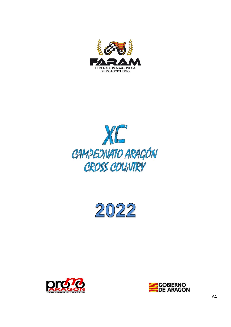







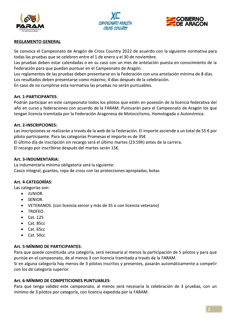





## **REGLAMENTO GENERAL**

Se convoca el Campeonato de Aragón de Cross Country 2022 de acuerdo con la siguiente normativa para todas las pruebas que se celebren entre el 1 de enero y el 30 de noviembre.

Las pruebas deben estar calendadas o en su caso con un mes de antelación puesta en conocimiento de la Federación para que puedan puntuar en el Campeonato de Aragón.

Los reglamentos de las pruebas deben presentarse en la Federación con una antelación mínima de 8 días. Los resultados deben presentarse como máximo, 4 días después de la celebración.

En caso de no cumplirse esta normativa las pruebas no serán puntuables.

#### Art. 1-PARTICIPANTES:

Podrán participar en este campeonato todos los pilotos que estén en posesión de la licencia federativa del año en curso y federaciones con acuerdo de la FARAM. Puntuarán para el Campeonato de Aragón los que tengan licencia tramitada por la Federación Aragonesa de Motociclismo, Homologada o Autonómica.

### Art. 2-INSCRIPCIONES:

Las inscripciones se realizarán a través de la web de la Federación. El importe asciende a un total de 55 € por piloto participante. Para las categorías Promesas el importe es de 35€

El último día de inscripción sin recargo será el último martes (23:59h) antes de la carrera.

El recargo por inscribirse después del martes serán 15€.

#### Art. 3-INDUMENTARIA:

La indumentaria mínima obligatoria será la siguiente: Casco integral, guantes, ropa de cross con las protecciones apropiadas, botas

#### Art. 4-CATEGORÍAS:

Las categorías son:

- $\bullet$ JUNIOR.
- SENIOR.  $\bullet$
- VETERANOS. (con licencia senior y más de 35 o con licencia veterano)  $\bullet$
- TROFEO.  $\bullet$
- Cat. 125  $\bullet$
- Cat. 85cc  $\bullet$
- Cat. 65cc  $\bullet$
- Cat. 50cc  $\bullet$

#### Art. 5-MÍNIMO DE PARTICIPANTES:

Para que quede constituida una categoría, será necesaria al menos la participación de 5 pilotos y para que puntúe en el campeonato, de al menos 3 con licencia tramitada a través de la FARAM.

Si en alguna categoría hay menos de 3 pilotos inscritos y presentes, pasarán automáticamente a competir con los de categoría superior.

#### Art. 6-MÍNIMO DE COMPETICIONES PUNTUABLES:

Para que tenga validez este campeonato, al menos será necesaria la celebración de 3 pruebas, con un mínimo de 3 pilotos por categoría, con licencia expedida por la FARAM.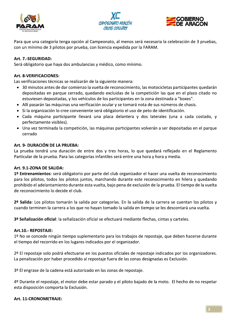





Para que una categoría tenga opción al Campeonato, al menos será necesaria la celebración de 3 pruebas, con un mínimo de 3 pilotos por prueba, con licencia expedida por la FARAM.

## Art. 7.-SEGURIDAD:

Será obligatorio que haya dos ambulancias y médico, como mínimo.

#### Art. 8-VERIFICACIONES:

Las verificaciones técnicas se realizarán de la siguiente manera:

- 30 minutos antes de dar comienzo la vuelta de reconocimiento, las motocicletas participantes quedarán depositadas en parque cerrado, quedando excluidas de la competición las que en el plazo citado no estuviesen depositadas, y los vehículos de los participantes en la zona destinada a "boxes".
- Allí pasarán las máquinas una verificación ocular y se tomará nota de sus números de chasis.
- · Si la organización lo cree conveniente será obligatorio el uso de peto de identificación.
- · Cada máquina participante llevará una placa delantera y dos laterales (una a cada costado, y perfectamente visibles).
- · Una vez terminada la competición, las máquinas participantes volverán a ser depositadas en el parque cerrado

#### Art. 9- DURACIÓN DE LA PRUEBA:

La prueba tendrá una duración de entre dos y tres horas, lo que quedará reflejado en el Reglamento Particular de la prueba. Para las categorías infantiles será entre una hora y hora y media.

#### Art. 9.1-ZONA DE SALIDA:

1º Entrenamientos: será obligatorio por parte del club organizador el hacer una vuelta de reconocimiento para los pilotos, todos los pilotos juntos, marchando durante este reconocimiento en hilera y quedando prohibido el adelantamiento durante esta vuelta, bajo pena de exclusión de la prueba. El tiempo de la vuelta de reconocimiento lo decide el club.

2º Salida: Los pilotos tomarán la salida por categorías. En la salida de la carrera se cuentan los pilotos y cuando terminen la carrera a los que no hayan tomado la salida en tiempo se les descontará una vuelta.

3º Señalización oficial: la señalización oficial se efectuará mediante flechas, cintas y carteles.

#### Art.10.- REPOSTAJE:

1º No se concede ningún tiempo suplementario para los trabajos de repostaje, que deben hacerse durante el tiempo del recorrido en los lugares indicados por el organizador.

2º El repostaje solo podrá efectuarse en los puestos oficiales de repostaje indicados por los organizadores. La penalización por haber procedido al repostaje fuera de las zonas designadas es Exclusión.

3º El engrase de la cadena está autorizado en las zonas de repostaje.

4º Durante el repostaje, el motor debe estar parado y el piloto bajado de la moto. El hecho de no respetar esta disposición comporta la Exclusión.

#### Art. 11-CRONOMETRAJE: